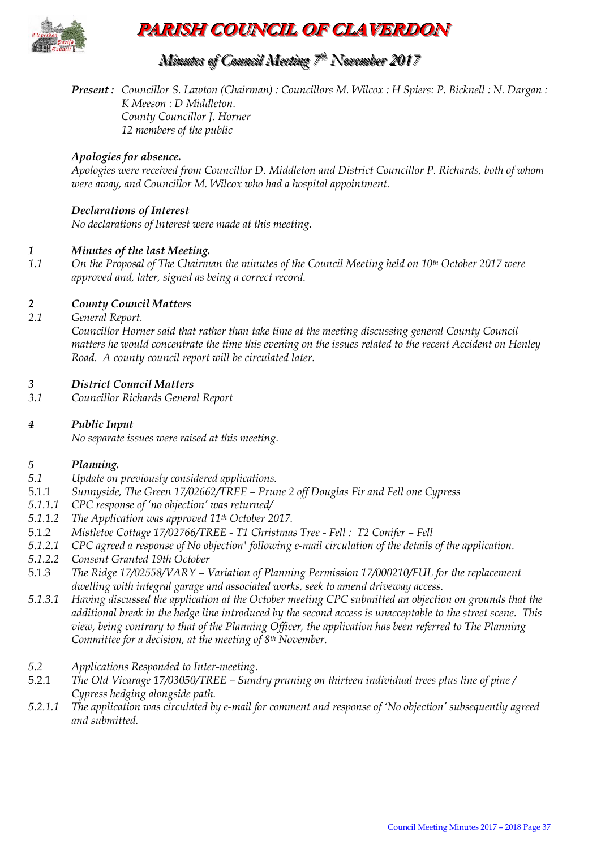

### **PARISH COUNCIL OF CLAVERDON**

### *Minutes of Council Meeting 7 t thh November 2017*

*Present: Councillor S. Lawton (Chairman) : Councillors M. Wilcox : H Spiers: P. Bicknell : N. Dargan : K Meeson : D Middleton. County Councillor J. Horner 12 members of the public*

#### *Apologies for absence.*

*Apologies were received from Councillor D. Middleton and District Councillor P. Richards, both of whom were away, and Councillor M. Wilcox who had a hospital appointment.*

#### *Declarations of Interest*

*No declarations of Interest were made at this meeting.*

#### *1 Minutes of the last Meeting.*

*1.1 On the Proposal of The Chairman the minutes of the Council Meeting held on 10th October 2017 were approved and, later, signed as being a correct record.*

#### *2 County Council Matters*

*2.1 General Report.*

*Councillor Horner said that rather than take time at the meeting discussing general County Council matters he would concentrate the time this evening on the issues related to the recent Accident on Henley Road. A county council report will be circulated later.*

#### *3 District Council Matters*

*3.1 Councillor Richards General Report*

#### *4 Public Input*

*No separate issues were raised at this meeting.* 

#### *5 Planning.*

- *5.1 Update on previously considered applications.*
- 5.1.1 *Sunnyside, The Green 17/02662/TREE – Prune 2 off Douglas Fir and Fell one Cypress*
- *5.1.1.1 CPC response of 'no objection' was returned/*
- *5.1.1.2 The Application was approved 11th October 2017.*
- 5.1.2 *Mistletoe Cottage 17/02766/TREE - T1 Christmas Tree - Fell : T2 Conifer – Fell*
- *5.1.2.1 CPC agreed a response of No objection' following e-mail circulation of the details of the application.*
- *5.1.2.2 Consent Granted 19th October*
- 5.1.3 *The Ridge 17/02558/VARY – Variation of Planning Permission 17/000210/FUL for the replacement dwelling with integral garage and associated works, seek to amend driveway access.*
- *5.1.3.1 Having discussed the application at the October meeting CPC submitted an objection on grounds that the additional break in the hedge line introduced by the second access is unacceptable to the street scene. This view, being contrary to that of the Planning Officer, the application has been referred to The Planning Committee for a decision, at the meeting of 8th November.*
- *5.2 Applications Responded to Inter-meeting.*
- 5.2.1 *The Old Vicarage 17/03050/TREE – Sundry pruning on thirteen individual trees plus line of pine / Cypress hedging alongside path.*
- *5.2.1.1 The application was circulated by e-mail for comment and response of 'No objection' subsequently agreed and submitted.*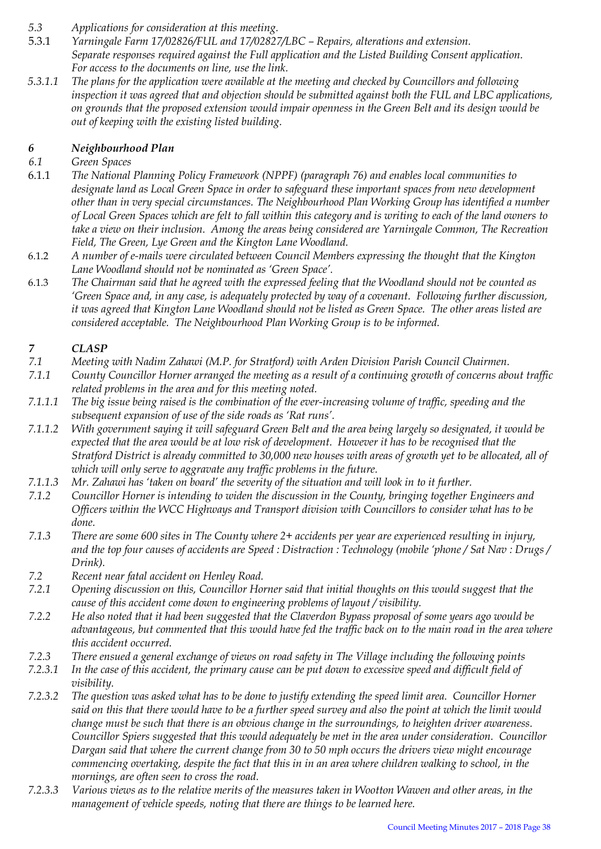- *5.3 Applications for consideration at this meeting.*
- 5.3.1 *Yarningale Farm 17/02826/FUL and 17/02827/LBC – Repairs, alterations and extension. Separate responses required against the Full application and the Listed Building Consent application. For access to the documents on line, use the link.*
- *5.3.1.1 The plans for the application were available at the meeting and checked by Councillors and following inspection it was agreed that and objection should be submitted against both the FUL and LBC applications, on grounds that the proposed extension would impair openness in the Green Belt and its design would be out of keeping with the existing listed building.*

#### *6 Neighbourhood Plan*

#### *6.1 Green Spaces*

- 6.1.1 *The National Planning Policy Framework (NPPF) (paragraph 76) and enables local communities to designate land as Local Green Space in order to safeguard these important spaces from new development other than in very special circumstances. The Neighbourhood Plan Working Group has identified a number of Local Green Spaces which are felt to fall within this category and is writing to each of the land owners to take a view on their inclusion. Among the areas being considered are Yarningale Common, The Recreation Field, The Green, Lye Green and the Kington Lane Woodland.*
- 6.1.2 *A number of e-mails were circulated between Council Members expressing the thought that the Kington Lane Woodland should not be nominated as 'Green Space'.*
- 6.1.3 *The Chairman said that he agreed with the expressed feeling that the Woodland should not be counted as 'Green Space and, in any case, is adequately protected by way of a covenant. Following further discussion, it was agreed that Kington Lane Woodland should not be listed as Green Space. The other areas listed are considered acceptable. The Neighbourhood Plan Working Group is to be informed.*

## *7 CLASP*

- *7.1 Meeting with Nadim Zahawi (M.P. for Stratford) with Arden Division Parish Council Chairmen.*
- *7.1.1 County Councillor Horner arranged the meeting as a result of a continuing growth of concerns about traffic related problems in the area and for this meeting noted.*
- *7.1.1.1 The big issue being raised is the combination of the ever-increasing volume of traffic, speeding and the subsequent expansion of use of the side roads as 'Rat runs'.*
- *7.1.1.2 With government saying it will safeguard Green Belt and the area being largely so designated, it would be expected that the area would be at low risk of development. However it has to be recognised that the Stratford District is already committed to 30,000 new houses with areas of growth yet to be allocated, all of which will only serve to aggravate any traffic problems in the future.*
- *7.1.1.3 Mr. Zahawi has 'taken on board' the severity of the situation and will look in to it further.*
- *7.1.2 Councillor Horner is intending to widen the discussion in the County, bringing together Engineers and Officers within the WCC Highways and Transport division with Councillors to consider what has to be done.*
- *7.1.3 There are some 600 sites in The County where 2+ accidents per year are experienced resulting in injury, and the top four causes of accidents are Speed : Distraction : Technology (mobile 'phone / Sat Nav : Drugs / Drink).*
- *7.2 Recent near fatal accident on Henley Road.*
- *7.2.1 Opening discussion on this, Councillor Horner said that initial thoughts on this would suggest that the cause of this accident come down to engineering problems of layout / visibility.*
- *7.2.2 He also noted that it had been suggested that the Claverdon Bypass proposal of some years ago would be advantageous, but commented that this would have fed the traffic back on to the main road in the area where this accident occurred.*
- *7.2.3 There ensued a general exchange of views on road safety in The Village including the following points*
- *7.2.3.1 In the case of this accident, the primary cause can be put down to excessive speed and difficult field of visibility.*
- *7.2.3.2 The question was asked what has to be done to justify extending the speed limit area. Councillor Horner said on this that there would have to be a further speed survey and also the point at which the limit would change must be such that there is an obvious change in the surroundings, to heighten driver awareness. Councillor Spiers suggested that this would adequately be met in the area under consideration. Councillor Dargan said that where the current change from 30 to 50 mph occurs the drivers view might encourage commencing overtaking, despite the fact that this in in an area where children walking to school, in the mornings, are often seen to cross the road.*
- *7.2.3.3 Various views as to the relative merits of the measures taken in Wootton Wawen and other areas, in the management of vehicle speeds, noting that there are things to be learned here.*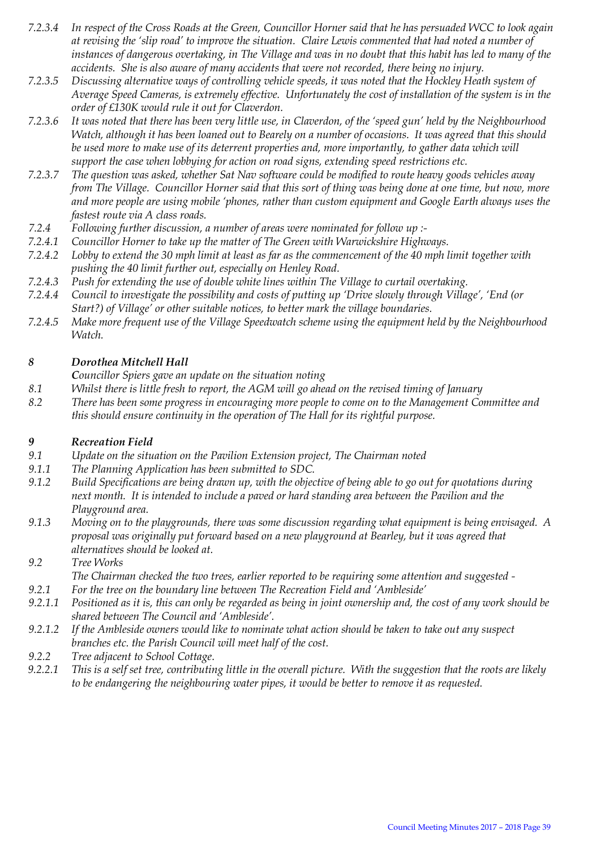- *7.2.3.4 In respect of the Cross Roads at the Green, Councillor Horner said that he has persuaded WCC to look again at revising the 'slip road' to improve the situation. Claire Lewis commented that had noted a number of instances of dangerous overtaking, in The Village and was in no doubt that this habit has led to many of the accidents. She is also aware of many accidents that were not recorded, there being no injury.*
- *7.2.3.5 Discussing alternative ways of controlling vehicle speeds, it was noted that the Hockley Heath system of Average Speed Cameras, is extremely effective. Unfortunately the cost of installation of the system is in the order of £130K would rule it out for Claverdon.*
- *7.2.3.6 It was noted that there has been very little use, in Claverdon, of the 'speed gun' held by the Neighbourhood Watch, although it has been loaned out to Bearely on a number of occasions. It was agreed that this should be used more to make use of its deterrent properties and, more importantly, to gather data which will support the case when lobbying for action on road signs, extending speed restrictions etc.*
- *7.2.3.7 The question was asked, whether Sat Nav software could be modified to route heavy goods vehicles away from The Village. Councillor Horner said that this sort of thing was being done at one time, but now, more and more people are using mobile 'phones, rather than custom equipment and Google Earth always uses the fastest route via A class roads.*
- *7.2.4 Following further discussion, a number of areas were nominated for follow up :-*
- *7.2.4.1 Councillor Horner to take up the matter of The Green with Warwickshire Highways.*
- *7.2.4.2 Lobby to extend the 30 mph limit at least as far as the commencement of the 40 mph limit together with pushing the 40 limit further out, especially on Henley Road.*
- *7.2.4.3 Push for extending the use of double white lines within The Village to curtail overtaking.*
- *7.2.4.4 Council to investigate the possibility and costs of putting up 'Drive slowly through Village', 'End (or Start?) of Village' or other suitable notices, to better mark the village boundaries.*
- *7.2.4.5 Make more frequent use of the Village Speedwatch scheme using the equipment held by the Neighbourhood Watch.*

#### *8 Dorothea Mitchell Hall*

*Councillor Spiers gave an update on the situation noting*

- *8.1 Whilst there is little fresh to report, the AGM will go ahead on the revised timing of January*
- *8.2 There has been some progress in encouraging more people to come on to the Management Committee and this should ensure continuity in the operation of The Hall for its rightful purpose.*

#### *9 Recreation Field*

- *9.1 Update on the situation on the Pavilion Extension project, The Chairman noted*
- *9.1.1 The Planning Application has been submitted to SDC.*
- *9.1.2 Build Specifications are being drawn up, with the objective of being able to go out for quotations during next month. It is intended to include a paved or hard standing area between the Pavilion and the Playground area.*
- *9.1.3 Moving on to the playgrounds, there was some discussion regarding what equipment is being envisaged. A proposal was originally put forward based on a new playground at Bearley, but it was agreed that alternatives should be looked at.*
- *9.2 Tree Works The Chairman checked the two trees, earlier reported to be requiring some attention and suggested -*
- *9.2.1 For the tree on the boundary line between The Recreation Field and 'Ambleside'*
- *9.2.1.1 Positioned as it is, this can only be regarded as being in joint ownership and, the cost of any work should be shared between The Council and 'Ambleside'.*
- *9.2.1.2 If the Ambleside owners would like to nominate what action should be taken to take out any suspect branches etc. the Parish Council will meet half of the cost.*
- *9.2.2 Tree adjacent to School Cottage.*
- *9.2.2.1 This is a self set tree, contributing little in the overall picture. With the suggestion that the roots are likely to be endangering the neighbouring water pipes, it would be better to remove it as requested.*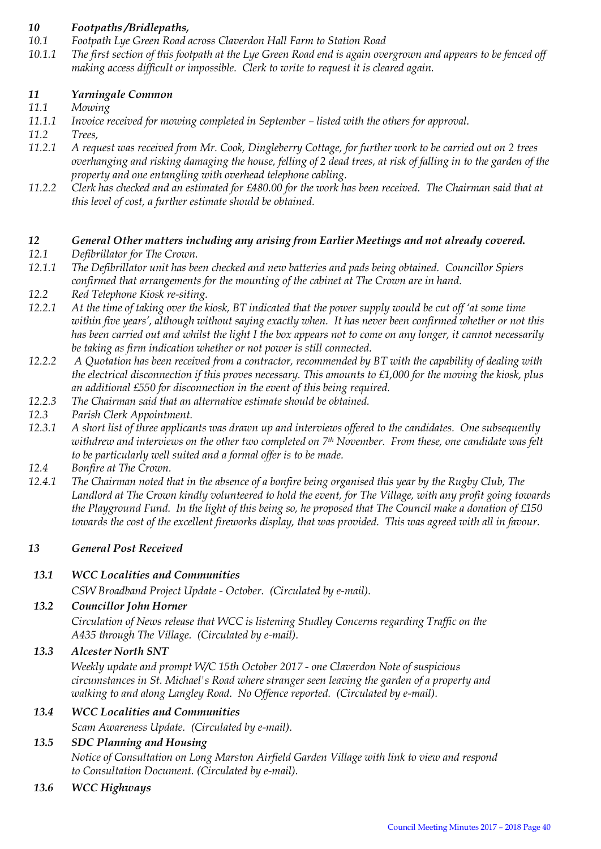#### *10 Footpaths /Bridlepaths,*

- *10.1 Footpath Lye Green Road across Claverdon Hall Farm to Station Road*
- *10.1.1 The first section of this footpath at the Lye Green Road end is again overgrown and appears to be fenced off making access difficult or impossible. Clerk to write to request it is cleared again.*

#### *11 Yarningale Common*

- *11.1 Mowing*
- 11.1.1 Invoice received for mowing completed in September listed with the others for approval.
- *11.2 Trees,*
- *11.2.1 A request was received from Mr. Cook, Dingleberry Cottage, for further work to be carried out on 2 trees overhanging and risking damaging the house, felling of 2 dead trees, at risk of falling in to the garden of the property and one entangling with overhead telephone cabling.*
- *11.2.2 Clerk has checked and an estimated for £480.00 for the work has been received. The Chairman said that at this level of cost, a further estimate should be obtained.*

#### *12 General Other matters including any arising from Earlier Meetings and not already covered.*

- *12.1 Defibrillator for The Crown.*
- *12.1.1 The Defibrillator unit has been checked and new batteries and pads being obtained. Councillor Spiers confirmed that arrangements for the mounting of the cabinet at The Crown are in hand.*
- *12.2 Red Telephone Kiosk re-siting.*
- *12.2.1 At the time of taking over the kiosk, BT indicated that the power supply would be cut off 'at some time within five years', although without saying exactly when. It has never been confirmed whether or not this has been carried out and whilst the light I the box appears not to come on any longer, it cannot necessarily be taking as firm indication whether or not power is still connected.*
- *12.2.2 A Quotation has been received from a contractor, recommended by BT with the capability of dealing with the electrical disconnection if this proves necessary. This amounts to £1,000 for the moving the kiosk, plus an additional £550 for disconnection in the event of this being required.*
- *12.2.3 The Chairman said that an alternative estimate should be obtained.*
- *12.3 Parish Clerk Appointment.*
- *12.3.1 A short list of three applicants was drawn up and interviews offered to the candidates. One subsequently withdrew and interviews on the other two completed on 7th November. From these, one candidate was felt to be particularly well suited and a formal offer is to be made.*
- *12.4 Bonfire at The Crown.*
- *12.4.1 The Chairman noted that in the absence of a bonfire being organised this year by the Rugby Club, The Landlord at The Crown kindly volunteered to hold the event, for The Village, with any profit going towards the Playground Fund. In the light of this being so, he proposed that The Council make a donation of £150 towards the cost of the excellent fireworks display, that was provided. This was agreed with all in favour.*

#### *13 General Post Received*

#### *13.1 WCC Localities and Communities*

*CSW Broadband Project Update - October. (Circulated by e-mail).* 

#### *13.2 Councillor John Horner*

*Circulation of News release that WCC is listening Studley Concerns regarding Traffic on the A435 through The Village. (Circulated by e-mail).* 

#### *13.3 Alcester North SNT*

*Weekly update and prompt W/C 15th October 2017 - one Claverdon Note of suspicious circumstances in St. Michael's Road where stranger seen leaving the garden of a property and walking to and along Langley Road. No Offence reported. (Circulated by e-mail).* 

#### *13.4 WCC Localities and Communities*

*Scam Awareness Update. (Circulated by e-mail).* 

### *13.5 SDC Planning and Housing Notice of Consultation on Long Marston Airfield Garden Village with link to view and respond to Consultation Document. (Circulated by e-mail).*

*13.6 WCC Highways*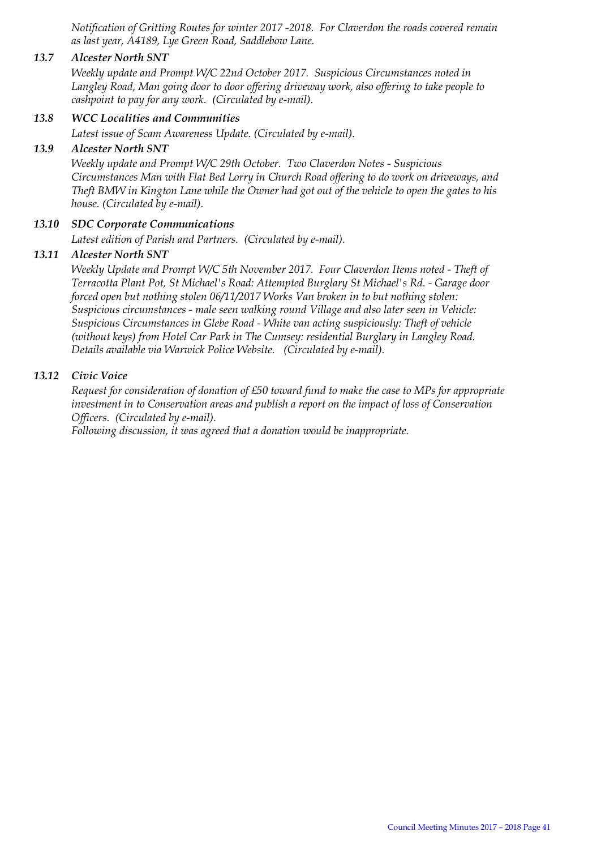*Notification of Gritting Routes for winter 2017 -2018. For Claverdon the roads covered remain as last year, A4189, Lye Green Road, Saddlebow Lane.* 

#### *13.7 Alcester North SNT*

*Weekly update and Prompt W/C 22nd October 2017. Suspicious Circumstances noted in Langley Road, Man going door to door offering driveway work, also offering to take people to cashpoint to pay for any work. (Circulated by e-mail).* 

#### *13.8 WCC Localities and Communities*

*Latest issue of Scam Awareness Update. (Circulated by e-mail).* 

#### *13.9 Alcester North SNT*

*Weekly update and Prompt W/C 29th October. Two Claverdon Notes - Suspicious Circumstances Man with Flat Bed Lorry in Church Road offering to do work on driveways, and Theft BMW in Kington Lane while the Owner had got out of the vehicle to open the gates to his house. (Circulated by e-mail).* 

#### *13.10 SDC Corporate Communications*

*Latest edition of Parish and Partners. (Circulated by e-mail).* 

#### *13.11 Alcester North SNT*

*Weekly Update and Prompt W/C 5th November 2017. Four Claverdon Items noted - Theft of Terracotta Plant Pot, St Michael's Road: Attempted Burglary St Michael's Rd. - Garage door forced open but nothing stolen 06/11/2017 Works Van broken in to but nothing stolen: Suspicious circumstances - male seen walking round Village and also later seen in Vehicle: Suspicious Circumstances in Glebe Road - White van acting suspiciously: Theft of vehicle (without keys) from Hotel Car Park in The Cumsey: residential Burglary in Langley Road. Details available via Warwick Police Website. (Circulated by e-mail).* 

#### *13.12 Civic Voice*

*Request for consideration of donation of £50 toward fund to make the case to MPs for appropriate investment in to Conservation areas and publish a report on the impact of loss of Conservation Officers. (Circulated by e-mail).* 

*Following discussion, it was agreed that a donation would be inappropriate.*